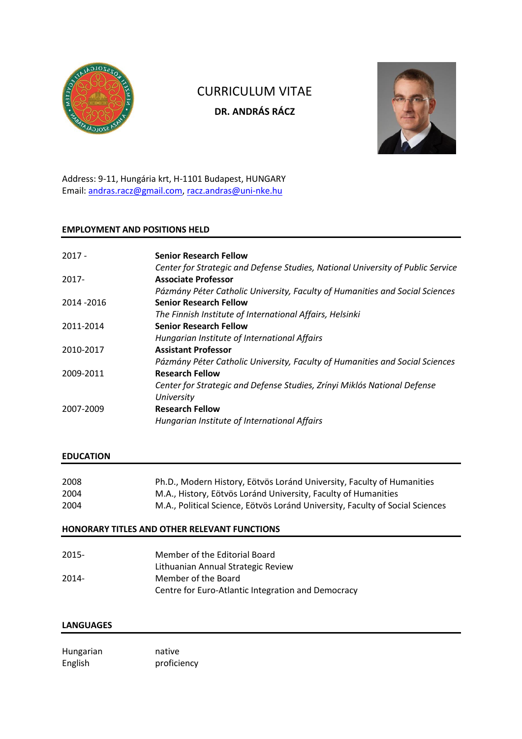

# CURRICULUM VITAE **DR. ANDRÁS RÁCZ**



Address: 9-11, Hungária krt, H-1101 Budapest, HUNGARY Email: [andras.racz@gmail.com,](mailto:andras.racz@gmail.com) [racz.andras@uni-nke.hu](mailto:racz.andras@uni-nke.hu)

## **EMPLOYMENT AND POSITIONS HELD**

| $2017 -$    | <b>Senior Research Fellow</b>                                                   |
|-------------|---------------------------------------------------------------------------------|
|             | Center for Strategic and Defense Studies, National University of Public Service |
| $2017 -$    | <b>Associate Professor</b>                                                      |
|             | Pázmány Péter Catholic University, Faculty of Humanities and Social Sciences    |
| 2014 - 2016 | <b>Senior Research Fellow</b>                                                   |
|             | The Finnish Institute of International Affairs, Helsinki                        |
| 2011-2014   | <b>Senior Research Fellow</b>                                                   |
|             | Hungarian Institute of International Affairs                                    |
| 2010-2017   | <b>Assistant Professor</b>                                                      |
|             | Pázmány Péter Catholic University, Faculty of Humanities and Social Sciences    |
| 2009-2011   | <b>Research Fellow</b>                                                          |
|             | Center for Strategic and Defense Studies, Zrínyi Miklós National Defense        |
|             | University                                                                      |
| 2007-2009   | <b>Research Fellow</b>                                                          |
|             | Hungarian Institute of International Affairs                                    |

## **EDUCATION**

| 2008 | Ph.D., Modern History, Eötvös Loránd University, Faculty of Humanities        |
|------|-------------------------------------------------------------------------------|
| 2004 | M.A., History, Eötvös Loránd University, Faculty of Humanities                |
| 2004 | M.A., Political Science, Eötvös Loránd University, Faculty of Social Sciences |

## **HONORARY TITLES AND OTHER RELEVANT FUNCTIONS**

| $2015 -$ | Member of the Editorial Board                      |
|----------|----------------------------------------------------|
|          | Lithuanian Annual Strategic Review                 |
| $2014 -$ | Member of the Board                                |
|          | Centre for Euro-Atlantic Integration and Democracy |

## **LANGUAGES**

Hungarian native English proficiency